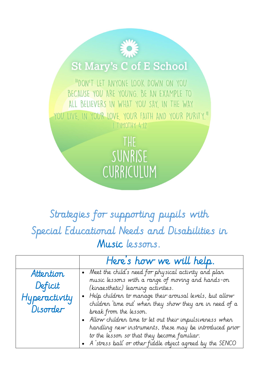## **St Mary's C of E School**

"DON'T LET ANYONE LOOK DOWN ON YOU BECAUSE YOU ARE YOUNG. BE AN EXAMPLE TO ALL BELIEVERS IN WHAT YOU SAY, IN THE WAY YOU LIVE, IN YOUR LOVE, YOUR FAITH AND YOUR PURITY." I TIMOTHY 4:12

> THE SUNRISE CURRICULUM

## Strategies for supporting pupils with Special Educational Needs and Disabilities in Music lessons.

|               | Here's how we will help.                                   |
|---------------|------------------------------------------------------------|
| Attention     | • Meet the child's need for physical activity and plan     |
|               | music lessons with a range of moving and hands-on          |
| Deficit       | (kinaesthetic) learning activities.                        |
| Hyperactivity | • Help children to manage their arousal levels, but allow  |
|               | children 'time out' when they show they are in need of a   |
| Disorder      | break from the lesson.                                     |
|               | • Allow children time to let out their impulsiveness when  |
|               | handling new instruments, these may be introduced prior    |
|               | to the lesson so that they become familiar.                |
|               | • A stress ball or other fiddle object agreed by the SENCO |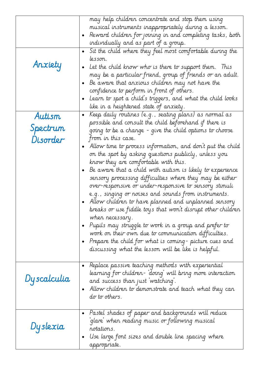| Anxiety                        | may help children concentrate and stop them using<br>musical instruments inappropriately during a lesson.<br>Reward children for joining in and completing tasks, both<br>$\bullet$<br>individually and as part of a group.<br>Sit the child where they feel most comfortable during the<br>$\bullet$<br>lesson.<br>Let the child know who is there to support them. This                                                                                                                                                                                                                                                                                                                                                                                                                                                                                                                                                                                                                                         |
|--------------------------------|-------------------------------------------------------------------------------------------------------------------------------------------------------------------------------------------------------------------------------------------------------------------------------------------------------------------------------------------------------------------------------------------------------------------------------------------------------------------------------------------------------------------------------------------------------------------------------------------------------------------------------------------------------------------------------------------------------------------------------------------------------------------------------------------------------------------------------------------------------------------------------------------------------------------------------------------------------------------------------------------------------------------|
|                                | may be a particular friend, group of friends or an adult.<br>Be aware that anxious children may not have the<br>confidence to perform in front of others.<br>Learn to spot a child's triggers, and what the child looks<br>$\bullet$<br>like in a heightened state of anxiety.                                                                                                                                                                                                                                                                                                                                                                                                                                                                                                                                                                                                                                                                                                                                    |
| Autism<br>Spectrum<br>Disorder | "Keep daily routines (e.g., seating plans) as normal as<br>$\bullet$<br>possible and consult the child beforehand if there is<br>going to be a change - give the child options to choose<br>from in this case.<br>Allow time to process information, and don't put the child<br>on the spot by asking questions publicly, unless you<br>know they are comfortable with this.<br>Be aware that a child with autism is likely to experience<br>sensory processing difficulties where they may be either<br>over-responsive or under-responsive to sensory stimuli<br>e.g., singing or noises and sounds from instruments.<br>Allow children to have planned and unplanned sensory<br>breaks or use fiddle toys that won't disrupt other children<br>when necessary.<br>Pupils may struggle to work in a group and prefer to<br>work on their own due to communication difficulties.<br>- Prepare the child for what is coming- picture cues and<br>$\bullet$<br>discussing what the lesson will be like is helpful. |
| Dyscalculia                    | • Replace passive teaching methods with experiential<br>learning for children- `doing` will bring more interaction<br>and success than just watching.<br>Allow children to demonstrate and teach what they can<br>٠<br>do to others.                                                                                                                                                                                                                                                                                                                                                                                                                                                                                                                                                                                                                                                                                                                                                                              |
| Dyslexia                       | Pastel shades of paper and backgrounds will reduce<br>$\bullet$<br>'glare' when reading music or following musical<br>notations.<br>Use large font sizes and double line spacing where<br>$\bullet$<br>appropriate.                                                                                                                                                                                                                                                                                                                                                                                                                                                                                                                                                                                                                                                                                                                                                                                               |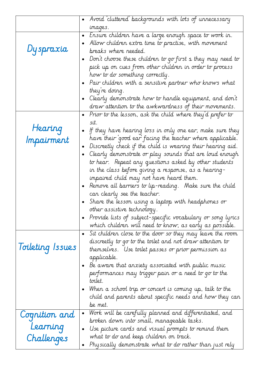|                       | Avoid 'cluttered' backgrounds with lots of unnecessary<br>$\bullet$                                                                                                                                                                                                                                                                                                                                                                                                                                                                                                                                                                                                                                                                                                                                                                             |
|-----------------------|-------------------------------------------------------------------------------------------------------------------------------------------------------------------------------------------------------------------------------------------------------------------------------------------------------------------------------------------------------------------------------------------------------------------------------------------------------------------------------------------------------------------------------------------------------------------------------------------------------------------------------------------------------------------------------------------------------------------------------------------------------------------------------------------------------------------------------------------------|
|                       | images.                                                                                                                                                                                                                                                                                                                                                                                                                                                                                                                                                                                                                                                                                                                                                                                                                                         |
| Dyspraxia             | Ensure children have a large enough space to work in.<br>$\bullet$<br>Allow children extra time to practise, with movement<br>breaks where needed.<br>Don't choose these children to go first s they may need to<br>$\bullet$<br>pick up on cues from other children in order to process<br>how to do something correctly.<br>Pair children with a sensitive partner who knows what<br>they're doing.<br>Clearly demonstrate how to handle equipment, and don't                                                                                                                                                                                                                                                                                                                                                                                 |
|                       | draw attention to the awkwardness of their movements.                                                                                                                                                                                                                                                                                                                                                                                                                                                                                                                                                                                                                                                                                                                                                                                           |
| Hearing<br>Impairment | Prior to the lesson, ask the child where they'd prefer to<br>$\bullet$<br>sit.<br>If they have hearing loss in only one ear, make sure they<br>$\bullet$<br>have their good ear facing the teacher where applicable.<br>Discreetly check if the child is wearing their hearing aid.<br>$\bullet$<br>Clearly demonstrate or play sounds that are loud enough<br>$\bullet$<br>to hear.  Repeat any questions asked by other students<br>in the class before giving a response, as a hearing-<br>impaired child may not have heard them.<br>Remove all barriers to lip-reading. Make sure the child<br>can clearly see the teacher.<br>Share the lesson using a laptop with headphones or<br>other assistive technology.<br>Provide lists of subject-specific vocabulary or song lyrics<br>which children will need to know, as early as possible. |
| Toileting Issues      | Sit children close to the door so they may leave the room<br>$\bullet$<br>discreetly to go to the toilet and not draw attention to<br>themselves.   Use toilet passes or prior permission as<br>applicable.<br>Be aware that anxiety associated with public music<br>performances may trigger pain or a need to go to the<br>toilet.<br>When a school trip or concert is coming up, talk to the<br>$\bullet$<br>child and parents about specific needs and how they can<br>be met.                                                                                                                                                                                                                                                                                                                                                              |
| Cognition and         | Work will be carefully planned and differentiated, and<br>$\bullet$                                                                                                                                                                                                                                                                                                                                                                                                                                                                                                                                                                                                                                                                                                                                                                             |
| Learning              | broken down into small, manageable tasks.<br>Use picture cards and visual prompts to remind them<br>$\bullet$<br>what to do and keep children on track.                                                                                                                                                                                                                                                                                                                                                                                                                                                                                                                                                                                                                                                                                         |
| Challenges            | Physically demonstrate what to do rather than just rely                                                                                                                                                                                                                                                                                                                                                                                                                                                                                                                                                                                                                                                                                                                                                                                         |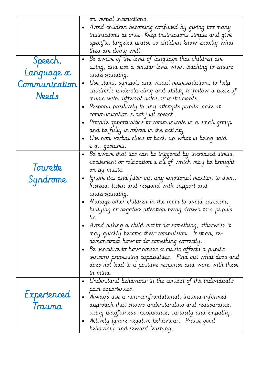|               |           | on verbal instructions.                                         |
|---------------|-----------|-----------------------------------------------------------------|
|               |           | Avoid children becoming confused by giving too many             |
|               |           | instructions at once. Keep instructions simple and give         |
|               |           | specific, targeted praise so children know exactly what         |
|               |           | they are doing well.                                            |
| Speech,       | $\bullet$ | Be aware of the level of language that children are             |
|               |           | using, and use a similar level when teaching to ensure          |
| Language x    |           | understanding.                                                  |
| Communication |           | Use signs, symbols and visual representations to help           |
|               |           | children's understanding and ability to follow a piece of       |
| Needs         |           | music with different notes or instruments.                      |
|               |           | Respond positively to any attempts pupils make at               |
|               |           | communication s not just speech.                                |
|               |           | Provide opportunities to communicate in a small group           |
|               |           | and be fully involved in the activity.                          |
|               |           | Use non-verbal clues to back-up what is being said              |
|               |           | e.g., gestures.                                                 |
|               | $\bullet$ | Be aware that tics can be triggered by increased stress,        |
|               |           | excitement or relaxation s all of which may be brought          |
| lourette      |           | on by music.                                                    |
| Syndrome      | $\bullet$ | Ignore tics and filter out any emotional reaction to them.      |
|               |           | Instead, listen and respond with support and                    |
|               |           | understanding.                                                  |
|               |           | Manage other children in the room to avoid sarcasm,             |
|               |           | bullying or negative attention being drawn to a pupil's         |
|               |           | tic.                                                            |
|               |           | - Avoid asking a child <i>not</i> to do something, otherwise it |
|               |           | may quickly become their compulsion. Instead, re-               |
|               |           | demonstrate how to do something correctly.                      |
|               |           | Be sensitive to how noises $\alpha$ music affects a pupil's     |
|               |           | sensory processing capabilities. Find out what does and         |
|               |           | does not lead to a positive response and work with these        |
|               |           | in mind.                                                        |
|               | $\bullet$ | Understand behaviour in the context of the individual's         |
|               |           | past experiences.                                               |
| Experienced   | $\bullet$ | Always use a ron-confrontational, trauma informed               |
| Trauma        |           | approach that shows understanding and reassurance,              |
|               |           | using playfulness, acceptance, curiosity and empathy.           |
|               |           | Actively ignore negative behaviour. Praise good                 |
|               |           | behaviour and reward learning.                                  |